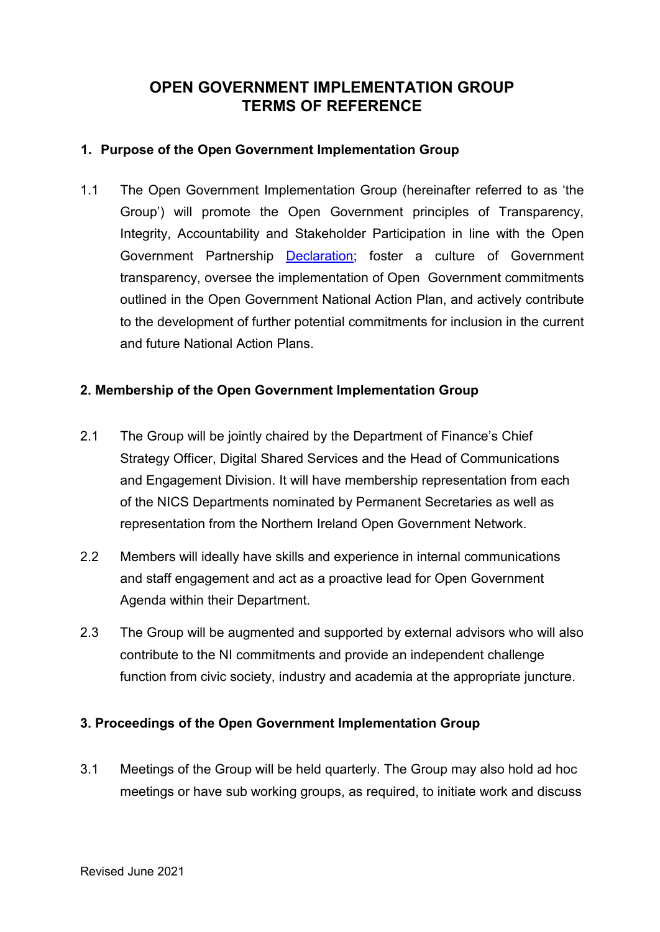# **OPEN GOVERNMENT IMPLEMENTATION GROUP TERMS OF REFERENCE**

## **1. Purpose of the Open Government Implementation Group**

1.1 The Open Government Implementation Group (hereinafter referred to as 'the Group') will promote the Open Government principles of Transparency, Integrity, Accountability and Stakeholder Participation in line with the Open Government Partnership Declaration; foster a culture of Government transparency, oversee the implementation of Open Government commitments outlined in the Open Government National Action Plan, and actively contribute to the development of further potential commitments for inclusion in the current and future National Action Plans.

## **2. Membership of the Open Government Implementation Group**

- 2.1 The Group will be jointly chaired by the Department of Finance's Chief Strategy Officer, Digital Shared Services and the Head of Communications and Engagement Division. It will have membership representation from each of the NICS Departments nominated by Permanent Secretaries as well as representation from the Northern Ireland Open Government Network.
- 2.2 Members will ideally have skills and experience in internal communications and staff engagement and act as a proactive lead for Open Government Agenda within their Department.
- 2.3 The Group will be augmented and supported by external advisors who will also contribute to the NI commitments and provide an independent challenge function from civic society, industry and academia at the appropriate juncture.

### **3. Proceedings of the Open Government Implementation Group**

3.1 Meetings of the Group will be held quarterly. The Group may also hold ad hoc meetings or have sub working groups, as required, to initiate work and discuss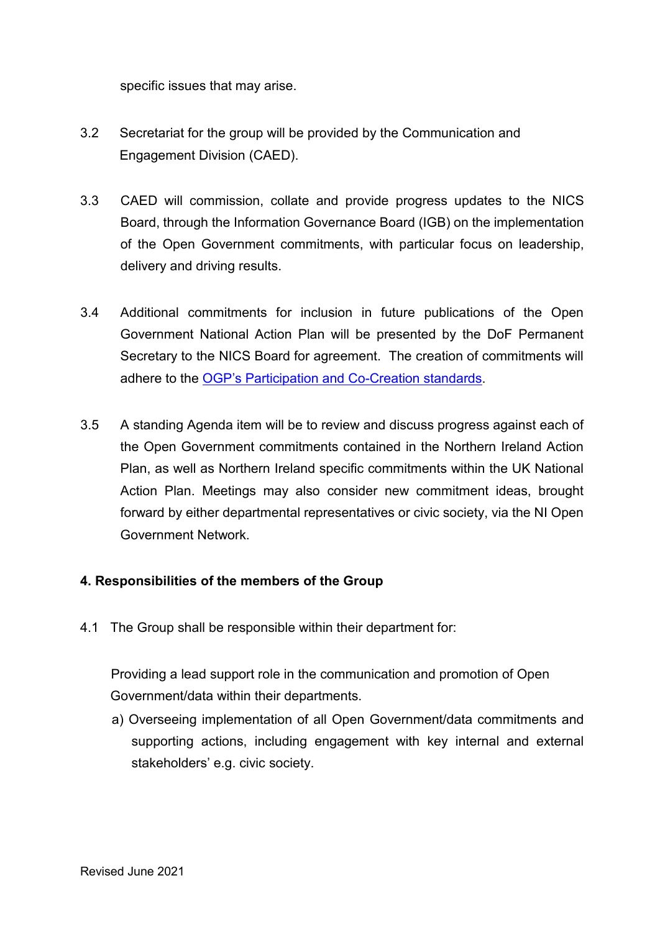specific issues that may arise.

- 3.2 Secretariat for the group will be provided by the Communication and Engagement Division (CAED).
- 3.3 CAED will commission, collate and provide progress updates to the NICS Board, through the Information Governance Board (IGB) on the implementation of the Open Government commitments, with particular focus on leadership, delivery and driving results.
- 3.4 Additional commitments for inclusion in future publications of the Open Government National Action Plan will be presented by the DoF Permanent Secretary to the NICS Board for agreement. The creation of commitments will adhere to the [OGP's Participation and Co-Creation standards.](https://www.opengovpartnership.org/ogp-participation-co-creation-standards/)
- 3.5 A standing Agenda item will be to review and discuss progress against each of the Open Government commitments contained in the Northern Ireland Action Plan, as well as Northern Ireland specific commitments within the UK National Action Plan. Meetings may also consider new commitment ideas, brought forward by either departmental representatives or civic society, via the NI Open Government Network.

### **4. Responsibilities of the members of the Group**

4.1 The Group shall be responsible within their department for:

Providing a lead support role in the communication and promotion of Open Government/data within their departments.

a) Overseeing implementation of all Open Government/data commitments and supporting actions, including engagement with key internal and external stakeholders' e.g. civic society.